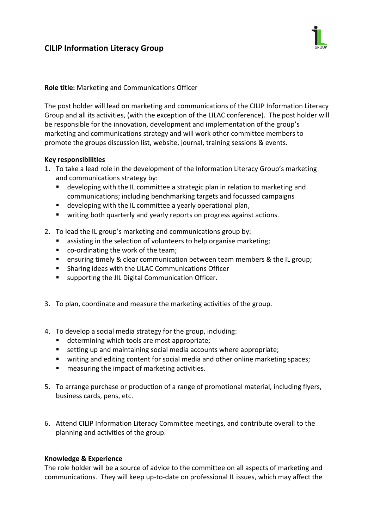# **CILIP Information Literacy Group**



## **Role title:** Marketing and Communications Officer

The post holder will lead on marketing and communications of the CILIP Information Literacy Group and all its activities, (with the exception of the LILAC conference). The post holder will be responsible for the innovation, development and implementation of the group's marketing and communications strategy and will work other committee members to promote the groups discussion list, website, journal, training sessions & events.

#### **Key responsibilities**

- 1. To take a lead role in the development of the Information Literacy Group's marketing and communications strategy by:
	- developing with the IL committee a strategic plan in relation to marketing and communications; including benchmarking targets and focussed campaigns
	- developing with the IL committee a yearly operational plan,
	- writing both quarterly and yearly reports on progress against actions.
- 2. To lead the IL group's marketing and communications group by:
	- **EXECT** assisting in the selection of volunteers to help organise marketing;
	- co-ordinating the work of the team;
	- **E** ensuring timely & clear communication between team members & the IL group;
	- **EXECUTE:** Sharing ideas with the LILAC Communications Officer
	- **E** supporting the JIL Digital Communication Officer.
- 3. To plan, coordinate and measure the marketing activities of the group.
- 4. To develop a social media strategy for the group, including:
	- determining which tools are most appropriate;
	- setting up and maintaining social media accounts where appropriate;
	- writing and editing content for social media and other online marketing spaces;
	- **n** measuring the impact of marketing activities.
- 5. To arrange purchase or production of a range of promotional material, including flyers, business cards, pens, etc.
- 6. Attend CILIP Information Literacy Committee meetings, and contribute overall to the planning and activities of the group.

#### **Knowledge & Experience**

The role holder will be a source of advice to the committee on all aspects of marketing and communications. They will keep up-to-date on professional IL issues, which may affect the